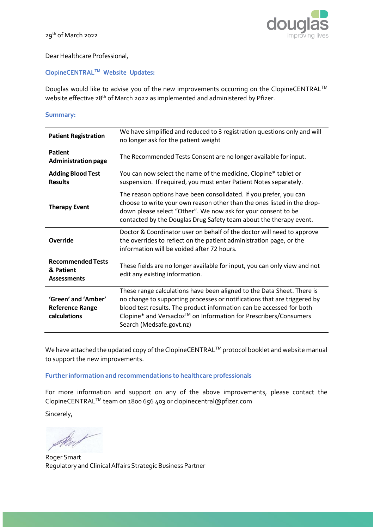

## Dear Healthcare Professional,

## **ClopineCENTRALTM Website Updates:**

Douglas would like to advise you of the new improvements occurring on the ClopineCENTRAL<sup>™</sup> website effective 28<sup>th</sup> of March 2022 as implemented and administered by Pfizer.

## **Summary:**

| <b>Patient Registration</b>                                   | We have simplified and reduced to 3 registration questions only and will<br>no longer ask for the patient weight                                                                                                                                                                                                           |
|---------------------------------------------------------------|----------------------------------------------------------------------------------------------------------------------------------------------------------------------------------------------------------------------------------------------------------------------------------------------------------------------------|
| <b>Patient</b><br><b>Administration page</b>                  | The Recommended Tests Consent are no longer available for input.                                                                                                                                                                                                                                                           |
| <b>Adding Blood Test</b><br><b>Results</b>                    | You can now select the name of the medicine, Clopine* tablet or<br>suspension. If required, you must enter Patient Notes separately.                                                                                                                                                                                       |
| <b>Therapy Event</b>                                          | The reason options have been consolidated. If you prefer, you can<br>choose to write your own reason other than the ones listed in the drop-<br>down please select "Other". We now ask for your consent to be<br>contacted by the Douglas Drug Safety team about the therapy event.                                        |
| Override                                                      | Doctor & Coordinator user on behalf of the doctor will need to approve<br>the overrides to reflect on the patient administration page, or the<br>information will be voided after 72 hours.                                                                                                                                |
| <b>Recommended Tests</b><br>& Patient<br><b>Assessments</b>   | These fields are no longer available for input, you can only view and not<br>edit any existing information.                                                                                                                                                                                                                |
| 'Green' and 'Amber'<br><b>Reference Range</b><br>calculations | These range calculations have been aligned to the Data Sheet. There is<br>no change to supporting processes or notifications that are triggered by<br>blood test results. The product information can be accessed for both<br>Clopine* and Versacloz™ on Information for Prescribers/Consumers<br>Search (Medsafe.govt.nz) |

We have attached the updated copy of the ClopineCENTRAL™ protocol booklet and website manual to support the new improvements.

## **Furtherinformation and recommendations to healthcare professionals**

For more information and support on any of the above improvements, please contact the ClopineCENTRALTM team on 1800 656 403 o[r clopinecentral@pfizer.com](mailto:clopinecentral@pfizer.com)

Sincerely,

Sent

Roger Smart Regulatory and Clinical Affairs Strategic Business Partner